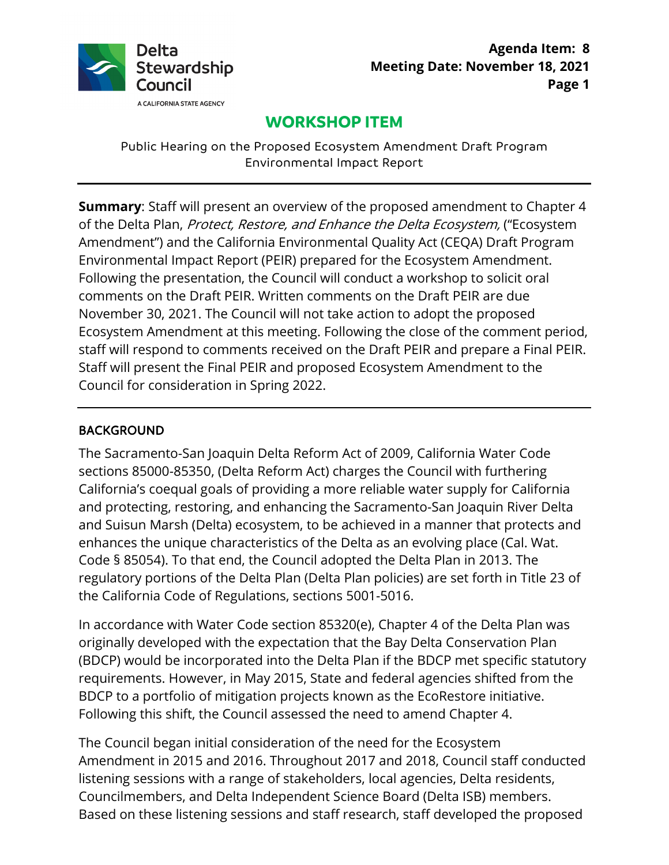

# **WORKSHOP ITEM**

Public Hearing on the Proposed Ecosystem Amendment Draft Program Environmental Impact Report

 Environmental Impact Report (PEIR) prepared for the Ecosystem Amendment. November 30, 2021. The Council will not take action to adopt the proposed Staff will present the Final PEIR and proposed Ecosystem Amendment to the **Summary**: Staff will present an overview of the proposed amendment to Chapter 4 of the Delta Plan, Protect, Restore, and Enhance the Delta Ecosystem, ("Ecosystem Amendment") and the California Environmental Quality Act (CEQA) Draft Program Following the presentation, the Council will conduct a workshop to solicit oral comments on the Draft PEIR. Written comments on the Draft PEIR are due Ecosystem Amendment at this meeting. Following the close of the comment period, staff will respond to comments received on the Draft PEIR and prepare a Final PEIR. Council for consideration in Spring 2022.

#### BACKGROUND

 Code § 85054). To that end, the Council adopted the Delta Plan in 2013. The regulatory portions of the Delta Plan (Delta Plan policies) are set forth in Title 23 of The Sacramento-San Joaquin Delta Reform Act of 2009, California Water Code sections 85000-85350, (Delta Reform Act) charges the Council with furthering California's coequal goals of providing a more reliable water supply for California and protecting, restoring, and enhancing the Sacramento-San Joaquin River Delta and Suisun Marsh (Delta) ecosystem, to be achieved in a manner that protects and enhances the unique characteristics of the Delta as an evolving place (Cal. Wat. the California Code of Regulations, sections 5001-5016.

 (BDCP) would be incorporated into the Delta Plan if the BDCP met specific statutory In accordance with Water Code section 85320(e), Chapter 4 of the Delta Plan was originally developed with the expectation that the Bay Delta Conservation Plan requirements. However, in May 2015, State and federal agencies shifted from the BDCP to a portfolio of mitigation projects known as the EcoRestore initiative. Following this shift, the Council assessed the need to amend Chapter 4.

 Amendment in 2015 and 2016. Throughout 2017 and 2018, Council staff conducted The Council began initial consideration of the need for the Ecosystem listening sessions with a range of stakeholders, local agencies, Delta residents, Councilmembers, and Delta Independent Science Board (Delta ISB) members. Based on these listening sessions and staff research, staff developed the proposed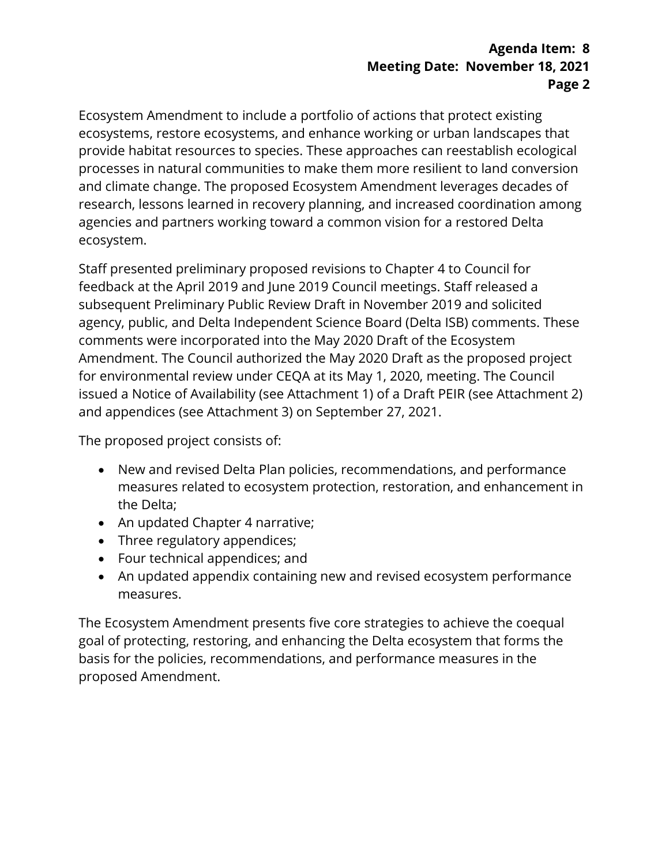#### **Agenda Item: 8 Meeting Date: November 18, 2021 Page 2**

 Ecosystem Amendment to include a portfolio of actions that protect existing ecosystems, restore ecosystems, and enhance working or urban landscapes that research, lessons learned in recovery planning, and increased coordination among provide habitat resources to species. These approaches can reestablish ecological processes in natural communities to make them more resilient to land conversion and climate change. The proposed Ecosystem Amendment leverages decades of agencies and partners working toward a common vision for a restored Delta ecosystem.

 Staff presented preliminary proposed revisions to Chapter 4 to Council for subsequent Preliminary Public Review Draft in November 2019 and solicited Amendment. The Council authorized the May 2020 Draft as the proposed project for environmental review under CEQA at its May 1, 2020, meeting. The Council feedback at the April 2019 and June 2019 Council meetings. Staff released a agency, public, and Delta Independent Science Board (Delta ISB) comments. These comments were incorporated into the May 2020 Draft of the Ecosystem issued a Notice of Availability (see Attachment 1) of a Draft PEIR (see Attachment 2) and appendices (see Attachment 3) on September 27, 2021.

The proposed project consists of:

- New and revised Delta Plan policies, recommendations, and performance measures related to ecosystem protection, restoration, and enhancement in the Delta;
- An updated Chapter 4 narrative;
- Three regulatory appendices;
- Four technical appendices; and
- An updated appendix containing new and revised ecosystem performance measures.

 goal of protecting, restoring, and enhancing the Delta ecosystem that forms the The Ecosystem Amendment presents five core strategies to achieve the coequal basis for the policies, recommendations, and performance measures in the proposed Amendment.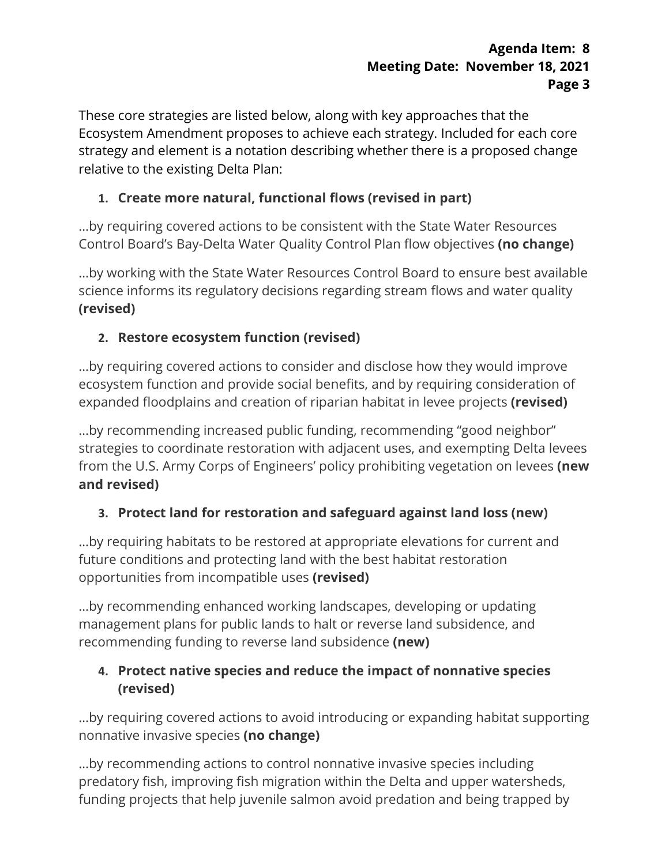These core strategies are listed below, along with key approaches that the strategy and element is a notation describing whether there is a proposed change Ecosystem Amendment proposes to achieve each strategy. Included for each core relative to the existing Delta Plan:

## **1. Create more natural, functional flows (revised in part)**

…by requiring covered actions to be consistent with the State Water Resources Control Board's Bay-Delta Water Quality Control Plan flow objectives **(no change)** 

…by working with the State Water Resources Control Board to ensure best available science informs its regulatory decisions regarding stream flows and water quality **(revised)** 

## **2. Restore ecosystem function (revised)**

…by requiring covered actions to consider and disclose how they would improve ecosystem function and provide social benefits, and by requiring consideration of expanded floodplains and creation of riparian habitat in levee projects **(revised)** 

…by recommending increased public funding, recommending "good neighbor" strategies to coordinate restoration with adjacent uses, and exempting Delta levees from the U.S. Army Corps of Engineers' policy prohibiting vegetation on levees **(new and revised)** 

### **3. Protect land for restoration and safeguard against land loss (new)**

 opportunities from incompatible uses **(revised)**  …by requiring habitats to be restored at appropriate elevations for current and future conditions and protecting land with the best habitat restoration

…by recommending enhanced working landscapes, developing or updating management plans for public lands to halt or reverse land subsidence, and recommending funding to reverse land subsidence **(new)** 

## **4. Protect native species and reduce the impact of nonnative species (revised)**

…by requiring covered actions to avoid introducing or expanding habitat supporting nonnative invasive species **(no change)** 

 funding projects that help juvenile salmon avoid predation and being trapped by …by recommending actions to control nonnative invasive species including predatory fish, improving fish migration within the Delta and upper watersheds,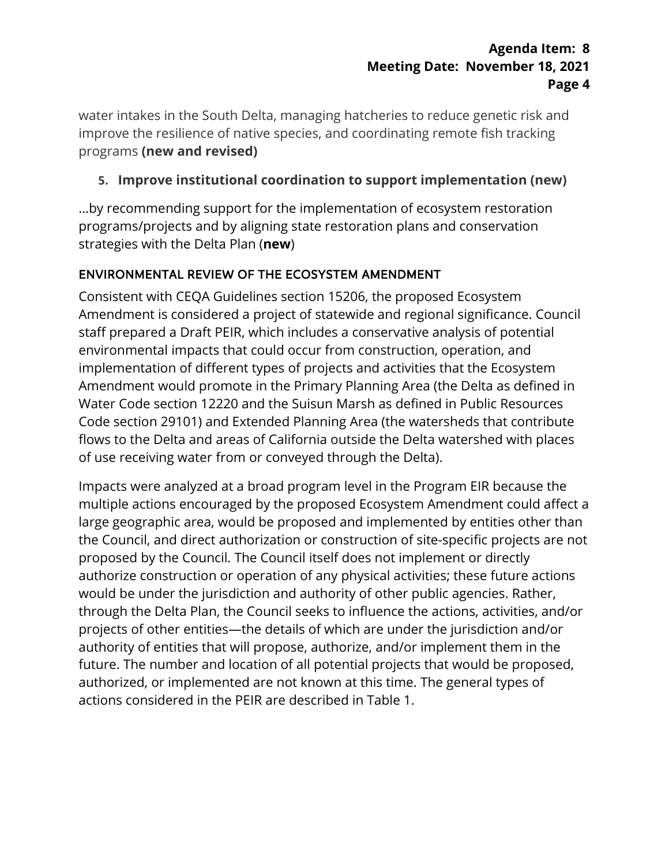water intakes in the South Delta, managing hatcheries to reduce genetic risk and improve the resilience of native species, and coordinating remote fish tracking programs **(new and revised)** 

## **5. Improve institutional coordination to support implementation (new)**

…by recommending support for the implementation of ecosystem restoration programs/projects and by aligning state restoration plans and conservation strategies with the Delta Plan (**new**)

## ENVIRONMENTAL REVIEW OF THE ECOSYSTEM AMENDMENT

 Consistent with CEQA Guidelines section 15206, the proposed Ecosystem Water Code section 12220 and the Suisun Marsh as defined in Public Resources Amendment is considered a project of statewide and regional significance. Council staff prepared a Draft PEIR, which includes a conservative analysis of potential environmental impacts that could occur from construction, operation, and implementation of different types of projects and activities that the Ecosystem Amendment would promote in the Primary Planning Area (the Delta as defined in Code section 29101) and Extended Planning Area (the watersheds that contribute flows to the Delta and areas of California outside the Delta watershed with places of use receiving water from or conveyed through the Delta).

 Impacts were analyzed at a broad program level in the Program EIR because the multiple actions encouraged by the proposed Ecosystem Amendment could affect a .<br>authority of entities that will propose, authorize, and/or implement them in the actions considered in the PEIR are described in Table 1. large geographic area, would be proposed and implemented by entities other than the Council, and direct authorization or construction of site-specific projects are not proposed by the Council. The Council itself does not implement or directly authorize construction or operation of any physical activities; these future actions would be under the jurisdiction and authority of other public agencies. Rather, through the Delta Plan, the Council seeks to influence the actions, activities, and/or projects of other entities—the details of which are under the jurisdiction and/or future. The number and location of all potential projects that would be proposed, authorized, or implemented are not known at this time. The general types of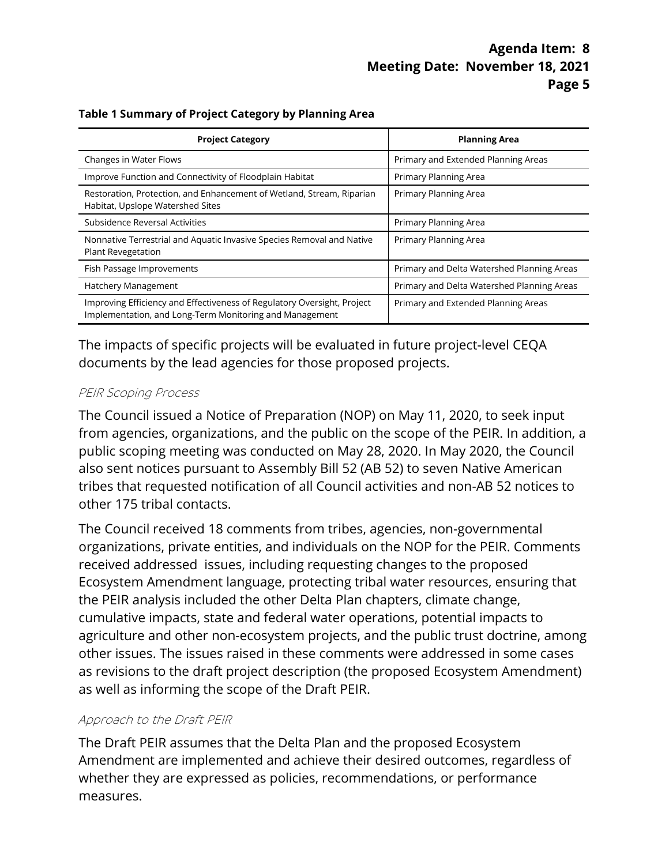| <b>Project Category</b>                                                                                                            | <b>Planning Area</b>                       |
|------------------------------------------------------------------------------------------------------------------------------------|--------------------------------------------|
| Changes in Water Flows                                                                                                             | Primary and Extended Planning Areas        |
| Improve Function and Connectivity of Floodplain Habitat                                                                            | Primary Planning Area                      |
| Restoration, Protection, and Enhancement of Wetland, Stream, Riparian<br>Habitat, Upslope Watershed Sites                          | Primary Planning Area                      |
| Subsidence Reversal Activities                                                                                                     | Primary Planning Area                      |
| Nonnative Terrestrial and Aquatic Invasive Species Removal and Native<br>Plant Revegetation                                        | Primary Planning Area                      |
| Fish Passage Improvements                                                                                                          | Primary and Delta Watershed Planning Areas |
| <b>Hatchery Management</b>                                                                                                         | Primary and Delta Watershed Planning Areas |
| Improving Efficiency and Effectiveness of Regulatory Oversight, Project<br>Implementation, and Long-Term Monitoring and Management | Primary and Extended Planning Areas        |

 The impacts of specific projects will be evaluated in future project-level CEQA documents by the lead agencies for those proposed projects.

#### PEIR Scoping Process

 The Council issued a Notice of Preparation (NOP) on May 11, 2020, to seek input from agencies, organizations, and the public on the scope of the PEIR. In addition, a public scoping meeting was conducted on May 28, 2020. In May 2020, the Council also sent notices pursuant to Assembly Bill 52 (AB 52) to seven Native American tribes that requested notification of all Council activities and non-AB 52 notices to other 175 tribal contacts.

 organizations, private entities, and individuals on the NOP for the PEIR. Comments agriculture and other non-ecosystem projects, and the public trust doctrine, among The Council received 18 comments from tribes, agencies, non-governmental received addressed issues, including requesting changes to the proposed Ecosystem Amendment language, protecting tribal water resources, ensuring that the PEIR analysis included the other Delta Plan chapters, climate change, cumulative impacts, state and federal water operations, potential impacts to other issues. The issues raised in these comments were addressed in some cases as revisions to the draft project description (the proposed Ecosystem Amendment) as well as informing the scope of the Draft PEIR.

#### Approach to the Draft PEIR

 The Draft PEIR assumes that the Delta Plan and the proposed Ecosystem measures. Amendment are implemented and achieve their desired outcomes, regardless of whether they are expressed as policies, recommendations, or performance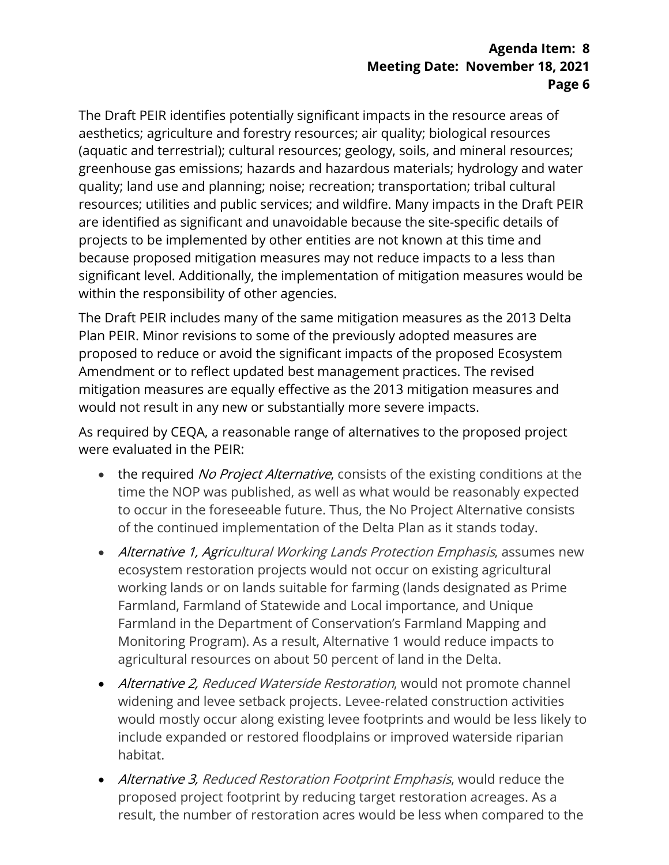The Draft PEIR identifies potentially significant impacts in the resource areas of are identified as significant and unavoidable because the site-specific details of projects to be implemented by other entities are not known at this time and significant level. Additionally, the implementation of mitigation measures would be within the responsibility of other agencies. aesthetics; agriculture and forestry resources; air quality; biological resources (aquatic and terrestrial); cultural resources; geology, soils, and mineral resources; greenhouse gas emissions; hazards and hazardous materials; hydrology and water quality; land use and planning; noise; recreation; transportation; tribal cultural resources; utilities and public services; and wildfire. Many impacts in the Draft PEIR because proposed mitigation measures may not reduce impacts to a less than

 The Draft PEIR includes many of the same mitigation measures as the 2013 Delta Plan PEIR. Minor revisions to some of the previously adopted measures are proposed to reduce or avoid the significant impacts of the proposed Ecosystem Amendment or to reflect updated best management practices. The revised mitigation measures are equally effective as the 2013 mitigation measures and would not result in any new or substantially more severe impacts.

 As required by CEQA, a reasonable range of alternatives to the proposed project were evaluated in the PEIR:

- the required No Project Alternative, consists of the existing conditions at the time the NOP was published, as well as what would be reasonably expected to occur in the foreseeable future. Thus, the No Project Alternative consists of the continued implementation of the Delta Plan as it stands today.
- working lands or on lands suitable for farming (lands designated as Prime • Alternative 1, Agricultural Working Lands Protection Emphasis, assumes new ecosystem restoration projects would not occur on existing agricultural Farmland, Farmland of Statewide and Local importance, and Unique Farmland in the Department of Conservation's Farmland Mapping and Monitoring Program). As a result, Alternative 1 would reduce impacts to agricultural resources on about 50 percent of land in the Delta.
- would mostly occur along existing levee footprints and would be less likely to • Alternative 2, Reduced Waterside Restoration, would not promote channel widening and levee setback projects. Levee-related construction activities include expanded or restored floodplains or improved waterside riparian habitat.
- Alternative 3, Reduced Restoration Footprint Emphasis, would reduce the proposed project footprint by reducing target restoration acreages. As a result, the number of restoration acres would be less when compared to the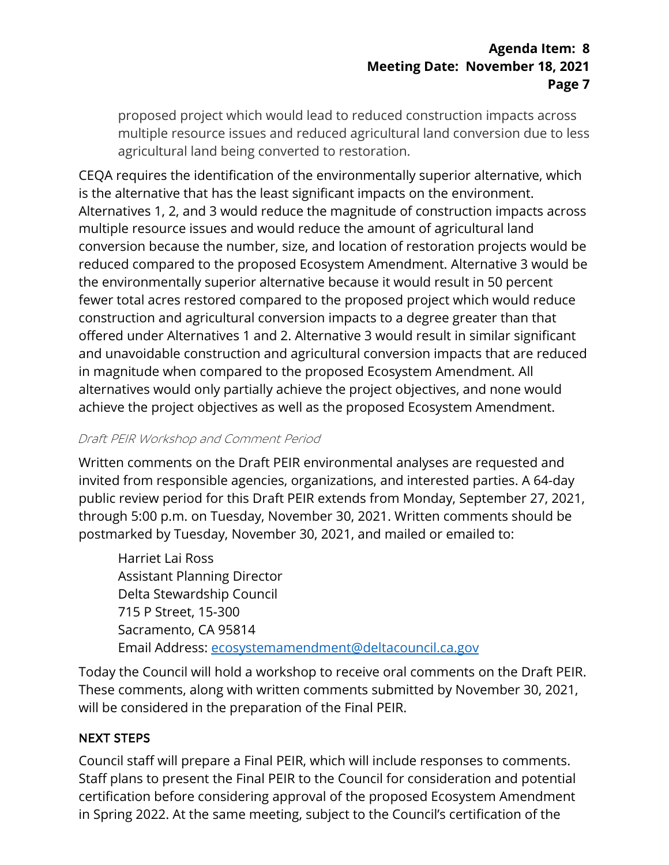proposed project which would lead to reduced construction impacts across multiple resource issues and reduced agricultural land conversion due to less agricultural land being converted to restoration.

 Alternatives 1, 2, and 3 would reduce the magnitude of construction impacts across in magnitude when compared to the proposed Ecosystem Amendment. All CEQA requires the identification of the environmentally superior alternative, which is the alternative that has the least significant impacts on the environment. multiple resource issues and would reduce the amount of agricultural land conversion because the number, size, and location of restoration projects would be reduced compared to the proposed Ecosystem Amendment. Alternative 3 would be the environmentally superior alternative because it would result in 50 percent fewer total acres restored compared to the proposed project which would reduce construction and agricultural conversion impacts to a degree greater than that offered under Alternatives 1 and 2. Alternative 3 would result in similar significant and unavoidable construction and agricultural conversion impacts that are reduced alternatives would only partially achieve the project objectives, and none would achieve the project objectives as well as the proposed Ecosystem Amendment.

#### Draft PEIR Workshop and Comment Period

 public review period for this Draft PEIR extends from Monday, September 27, 2021, Written comments on the Draft PEIR environmental analyses are requested and invited from responsible agencies, organizations, and interested parties. A 64-day through 5:00 p.m. on Tuesday, November 30, 2021. Written comments should be postmarked by Tuesday, November 30, 2021, and mailed or emailed to:

**Assistant Planning Director** Harriet Lai Ross Delta Stewardship Council 715 P Street, 15-300 Sacramento, CA 95814 Email Address: [ecosystemamendment@deltacouncil.ca.gov](mailto:ecosystemamendment@deltacouncil.ca.gov) 

 will be considered in the preparation of the Final PEIR. Today the Council will hold a workshop to receive oral comments on the Draft PEIR. These comments, along with written comments submitted by November 30, 2021,

#### NEXT STEPS

 in Spring 2022. At the same meeting, subject to the Council's certification of the Council staff will prepare a Final PEIR, which will include responses to comments. Staff plans to present the Final PEIR to the Council for consideration and potential certification before considering approval of the proposed Ecosystem Amendment